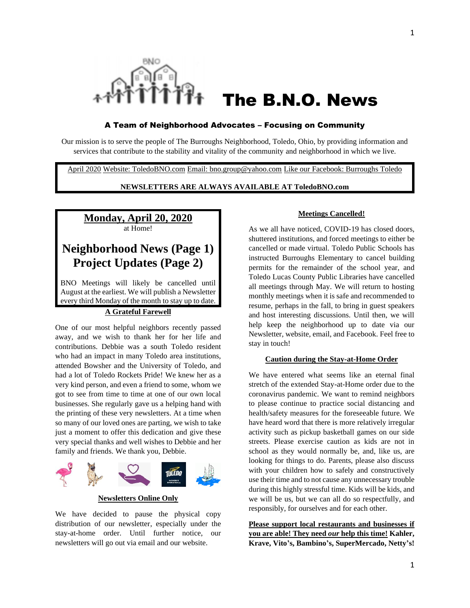

# The B.N.O. News

#### A Team of Neighborhood Advocates – Focusing on Community

Our mission is to serve the people of The Burroughs Neighborhood, Toledo, Ohio, by providing information and services that contribute to the stability and vitality of the community and neighborhood in which we live.

April 2020 Website: ToledoBNO.com Email: bno.group@yahoo.com Like our Facebook: Burroughs Toledo

#### **NEWSLETTERS ARE ALWAYS AVAILABLE AT ToledoBNO.com**

# **Monday, April 20, 2020** at Home!

# **Neighborhood News (Page 1) Project Updates (Page 2)**

BNO Meetings will likely be cancelled until August at the earliest. We will publish a Newsletter every third Monday of the month to stay up to date.

#### **A Grateful Farewell**

One of our most helpful neighbors recently passed away, and we wish to thank her for her life and contributions. Debbie was a south Toledo resident who had an impact in many Toledo area institutions, attended Bowsher and the University of Toledo, and had a lot of Toledo Rockets Pride! We knew her as a very kind person, and even a friend to some, whom we got to see from time to time at one of our own local businesses. She regularly gave us a helping hand with the printing of these very newsletters. At a time when so many of our loved ones are parting, we wish to take just a moment to offer this dedication and give these very special thanks and well wishes to Debbie and her family and friends. We thank you, Debbie.



**Newsletters Online Only**

We have decided to pause the physical copy distribution of our newsletter, especially under the stay-at-home order. Until further notice, our newsletters will go out via email and our website.

#### **Meetings Cancelled!**

As we all have noticed, COVID-19 has closed doors, shuttered institutions, and forced meetings to either be cancelled or made virtual. Toledo Public Schools has instructed Burroughs Elementary to cancel building permits for the remainder of the school year, and Toledo Lucas County Public Libraries have cancelled all meetings through May. We will return to hosting monthly meetings when it is safe and recommended to resume, perhaps in the fall, to bring in guest speakers and host interesting discussions. Until then, we will help keep the neighborhood up to date via our Newsletter, website, email, and Facebook. Feel free to stay in touch!

#### **Caution during the Stay-at-Home Order**

We have entered what seems like an eternal final stretch of the extended Stay-at-Home order due to the coronavirus pandemic. We want to remind neighbors to please continue to practice social distancing and health/safety measures for the foreseeable future. We have heard word that there is more relatively irregular activity such as pickup basketball games on our side streets. Please exercise caution as kids are not in school as they would normally be, and, like us, are looking for things to do. Parents, please also discuss with your children how to safely and constructively use their time and to not cause any unnecessary trouble during this highly stressful time. Kids will be kids, and we will be us, but we can all do so respectfully, and responsibly, for ourselves and for each other.

**Please support local restaurants and businesses if you are able! They need** *our* **help this time! Kahler, Krave, Vito's, Bambino's, SuperMercado, Netty's!**